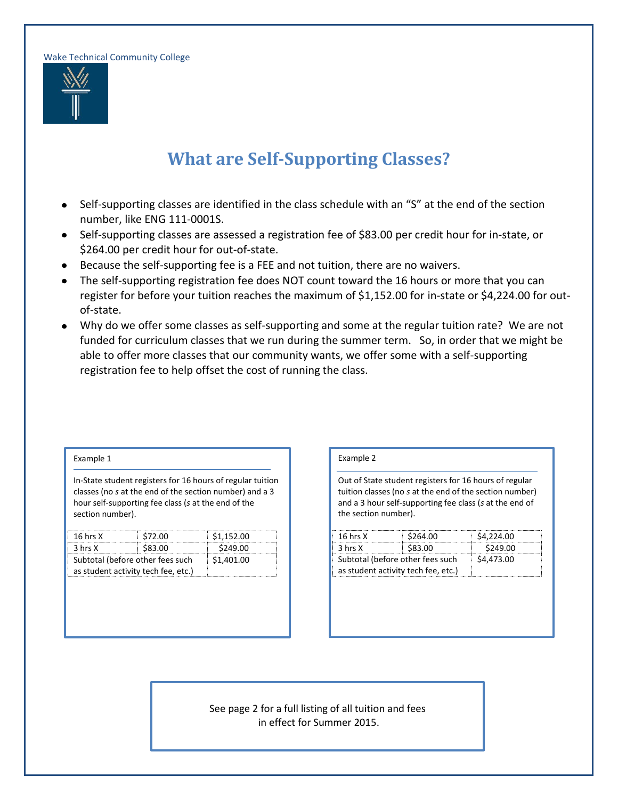Wake Technical Community College



## **What are Self-Supporting Classes?**

- Self-supporting classes are identified in the class schedule with an "S" at the end of the section  $\bullet$ number, like ENG 111-0001S.
- Self-supporting classes are assessed a registration fee of \$83.00 per credit hour for in-state, or  $\bullet$ \$264.00 per credit hour for out-of-state.
- Because the self-supporting fee is a FEE and not tuition, there are no waivers.
- The self-supporting registration fee does NOT count toward the 16 hours or more that you can  $\bullet$ register for before your tuition reaches the maximum of \$1,152.00 for in-state or \$4,224.00 for outof-state.
- Why do we offer some classes as self-supporting and some at the regular tuition rate? We are not funded for curriculum classes that we run during the summer term. So, in order that we might be able to offer more classes that our community wants, we offer some with a self-supporting registration fee to help offset the cost of running the class.

## Example 1

In-State student registers for 16 hours of regular tuition classes (no *s* at the end of the section number) and a 3 hour self-supporting fee class (*s* at the end of the section number).

| 16 hrs $X$                          | \$72.00 | \$1.152.00 |  |  |
|-------------------------------------|---------|------------|--|--|
| 3 hrs X                             | \$83.00 | \$249.00   |  |  |
| Subtotal (before other fees such    |         | \$1,401.00 |  |  |
| as student activity tech fee, etc.) |         |            |  |  |

## Example 2

Out of State student registers for 16 hours of regular tuition classes (no *s* at the end of the section number) and a 3 hour self-supporting fee class (*s* at the end of the section number).

| $16$ hrs $X$                        | \$264.00 | \$4,224.00 |
|-------------------------------------|----------|------------|
| 3 hrs X                             | \$83.00  | \$249.00   |
| Subtotal (before other fees such    |          | \$4,473.00 |
| as student activity tech fee, etc.) |          |            |

See page 2 for a full listing of all tuition and fees in effect for Summer 2015.